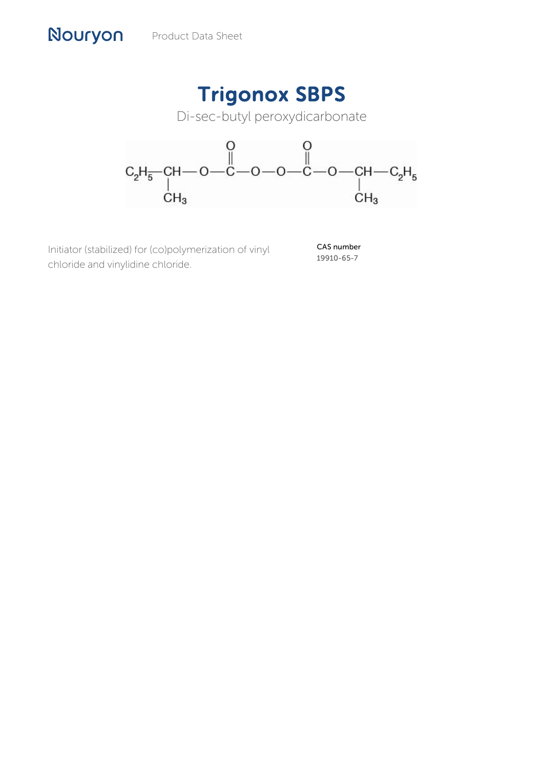Nouryon

## Trigonox SBPS

Di-sec-butyl peroxydicarbonate



Initiator (stabilized) for (co)polymerization of vinyl chloride and vinylidine chloride.

CAS number 19910-65-7